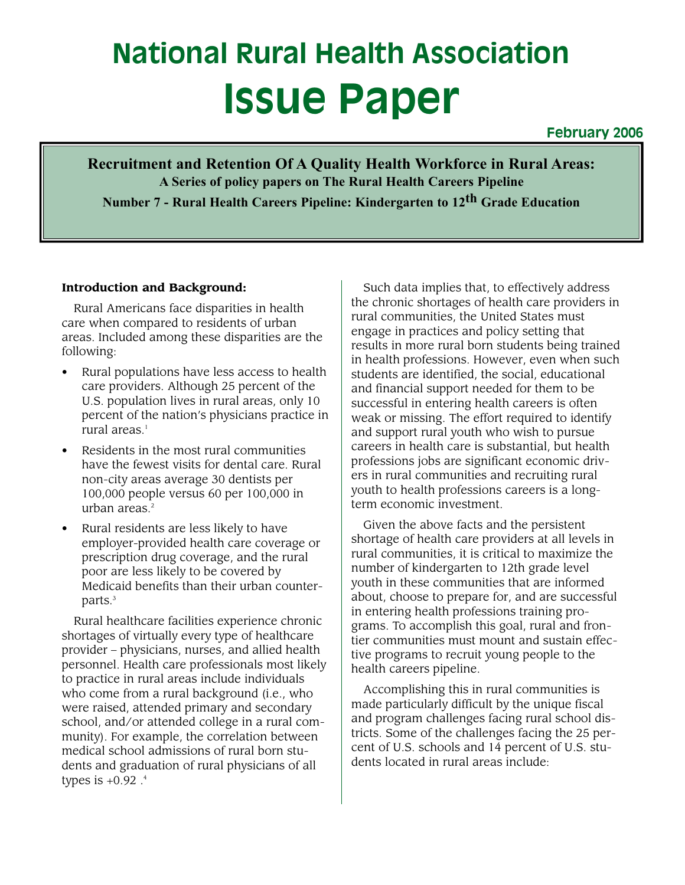# **National Rural Health Association Issue Paper**

**February 2006**

**Recruitment and Retention Of A Quality Health Workforce in Rural Areas: A Series of policy papers on The Rural Health Careers Pipeline Number 7 - Rural Health Careers Pipeline: Kindergarten to 12th Grade Education**

#### **Introduction and Background:**

Rural Americans face disparities in health care when compared to residents of urban areas. Included among these disparities are the following:

- Rural populations have less access to health care providers. Although 25 percent of the U.S. population lives in rural areas, only 10 percent of the nation's physicians practice in rural areas.<sup>1</sup>
- Residents in the most rural communities have the fewest visits for dental care. Rural non-city areas average 30 dentists per 100,000 people versus 60 per 100,000 in urban areas.<sup>2</sup>
- Rural residents are less likely to have employer-provided health care coverage or prescription drug coverage, and the rural poor are less likely to be covered by Medicaid benefits than their urban counterparts.<sup>3</sup>

Rural healthcare facilities experience chronic shortages of virtually every type of healthcare provider – physicians, nurses, and allied health personnel. Health care professionals most likely to practice in rural areas include individuals who come from a rural background (i.e., who were raised, attended primary and secondary school, and/or attended college in a rural community). For example, the correlation between medical school admissions of rural born students and graduation of rural physicians of all types is +0.92 . 4

Such data implies that, to effectively address the chronic shortages of health care providers in rural communities, the United States must engage in practices and policy setting that results in more rural born students being trained in health professions. However, even when such students are identified, the social, educational and financial support needed for them to be successful in entering health careers is often weak or missing. The effort required to identify and support rural youth who wish to pursue careers in health care is substantial, but health professions jobs are significant economic drivers in rural communities and recruiting rural youth to health professions careers is a longterm economic investment.

Given the above facts and the persistent shortage of health care providers at all levels in rural communities, it is critical to maximize the number of kindergarten to 12th grade level youth in these communities that are informed about, choose to prepare for, and are successful in entering health professions training programs. To accomplish this goal, rural and frontier communities must mount and sustain effective programs to recruit young people to the health careers pipeline.

Accomplishing this in rural communities is made particularly difficult by the unique fiscal and program challenges facing rural school districts. Some of the challenges facing the 25 percent of U.S. schools and 14 percent of U.S. students located in rural areas include: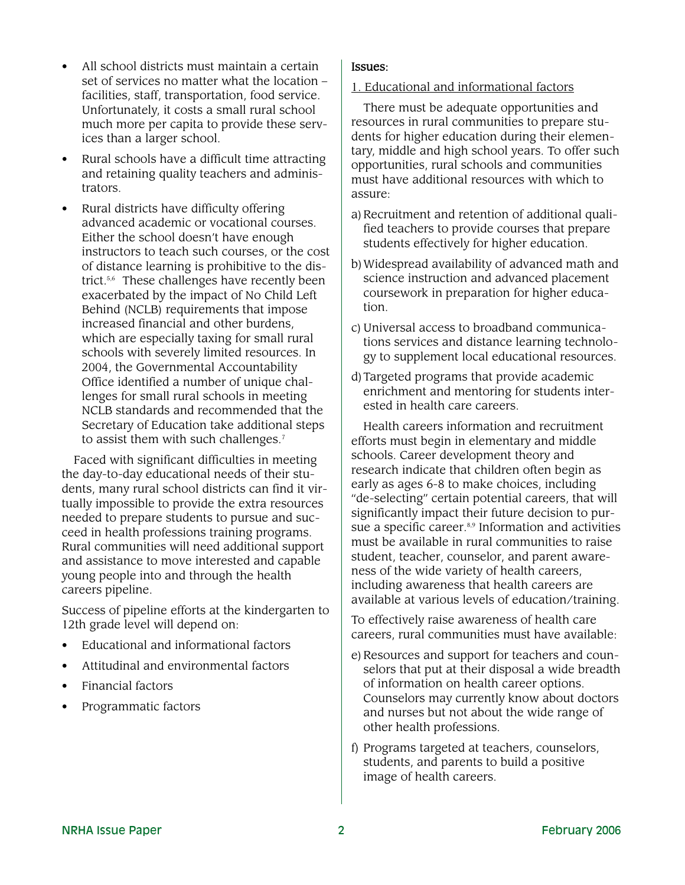- All school districts must maintain a certain set of services no matter what the location – facilities, staff, transportation, food service. Unfortunately, it costs a small rural school much more per capita to provide these services than a larger school.
- Rural schools have a difficult time attracting and retaining quality teachers and administrators.
- Rural districts have difficulty offering advanced academic or vocational courses. Either the school doesn't have enough instructors to teach such courses, or the cost of distance learning is prohibitive to the district.<sup>5,6</sup> These challenges have recently been exacerbated by the impact of No Child Left Behind (NCLB) requirements that impose increased financial and other burdens, which are especially taxing for small rural schools with severely limited resources. In 2004, the Governmental Accountability Office identified a number of unique challenges for small rural schools in meeting NCLB standards and recommended that the Secretary of Education take additional steps to assist them with such challenges.<sup>7</sup>

Faced with significant difficulties in meeting the day-to-day educational needs of their students, many rural school districts can find it virtually impossible to provide the extra resources needed to prepare students to pursue and succeed in health professions training programs. Rural communities will need additional support and assistance to move interested and capable young people into and through the health careers pipeline.

Success of pipeline efforts at the kindergarten to 12th grade level will depend on:

- Educational and informational factors
- Attitudinal and environmental factors
- Financial factors
- Programmatic factors

## Issues:

1. Educational and informational factors

There must be adequate opportunities and resources in rural communities to prepare students for higher education during their elementary, middle and high school years. To offer such opportunities, rural schools and communities must have additional resources with which to assure:

- a) Recruitment and retention of additional qualified teachers to provide courses that prepare students effectively for higher education.
- b)Widespread availability of advanced math and science instruction and advanced placement coursework in preparation for higher education.
- c) Universal access to broadband communications services and distance learning technology to supplement local educational resources.
- d)Targeted programs that provide academic enrichment and mentoring for students interested in health care careers.

Health careers information and recruitment efforts must begin in elementary and middle schools. Career development theory and research indicate that children often begin as early as ages 6-8 to make choices, including "de-selecting" certain potential careers, that will significantly impact their future decision to pursue a specific career. 8,9 Information and activities must be available in rural communities to raise student, teacher, counselor, and parent awareness of the wide variety of health careers, including awareness that health careers are available at various levels of education/training.

To effectively raise awareness of health care careers, rural communities must have available:

- e) Resources and support for teachers and counselors that put at their disposal a wide breadth of information on health career options. Counselors may currently know about doctors and nurses but not about the wide range of other health professions.
- f) Programs targeted at teachers, counselors, students, and parents to build a positive image of health careers.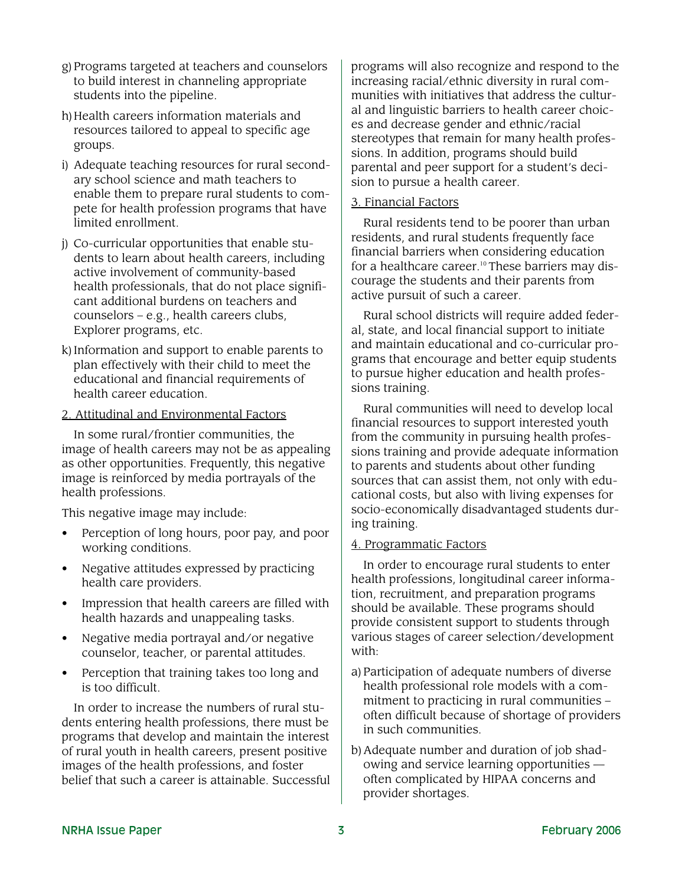- g)Programs targeted at teachers and counselors to build interest in channeling appropriate students into the pipeline.
- h) Health careers information materials and resources tailored to appeal to specific age groups.
- i) Adequate teaching resources for rural secondary school science and math teachers to enable them to prepare rural students to compete for health profession programs that have limited enrollment.
- j) Co-curricular opportunities that enable students to learn about health careers, including active involvement of community-based health professionals, that do not place significant additional burdens on teachers and counselors – e.g., health careers clubs, Explorer programs, etc.
- k)Information and support to enable parents to plan effectively with their child to meet the educational and financial requirements of health career education.

#### 2. Attitudinal and Environmental Factors

In some rural/frontier communities, the image of health careers may not be as appealing as other opportunities. Frequently, this negative image is reinforced by media portrayals of the health professions.

This negative image may include:

- Perception of long hours, poor pay, and poor working conditions.
- Negative attitudes expressed by practicing health care providers.
- Impression that health careers are filled with health hazards and unappealing tasks.
- Negative media portrayal and/or negative counselor, teacher, or parental attitudes.
- Perception that training takes too long and is too difficult.

In order to increase the numbers of rural students entering health professions, there must be programs that develop and maintain the interest of rural youth in health careers, present positive images of the health professions, and foster belief that such a career is attainable. Successful

programs will also recognize and respond to the increasing racial/ethnic diversity in rural communities with initiatives that address the cultural and linguistic barriers to health career choices and decrease gender and ethnic/racial stereotypes that remain for many health professions. In addition, programs should build parental and peer support for a student's decision to pursue a health career.

### 3. Financial Factors

Rural residents tend to be poorer than urban residents, and rural students frequently face financial barriers when considering education for a healthcare career. 10 These barriers may discourage the students and their parents from active pursuit of such a career.

Rural school districts will require added federal, state, and local financial support to initiate and maintain educational and co-curricular programs that encourage and better equip students to pursue higher education and health professions training.

Rural communities will need to develop local financial resources to support interested youth from the community in pursuing health professions training and provide adequate information to parents and students about other funding sources that can assist them, not only with educational costs, but also with living expenses for socio-economically disadvantaged students during training.

#### 4. Programmatic Factors

In order to encourage rural students to enter health professions, longitudinal career information, recruitment, and preparation programs should be available. These programs should provide consistent support to students through various stages of career selection/development with:

- a) Participation of adequate numbers of diverse health professional role models with a commitment to practicing in rural communities – often difficult because of shortage of providers in such communities.
- b)Adequate number and duration of job shadowing and service learning opportunities often complicated by HIPAA concerns and provider shortages.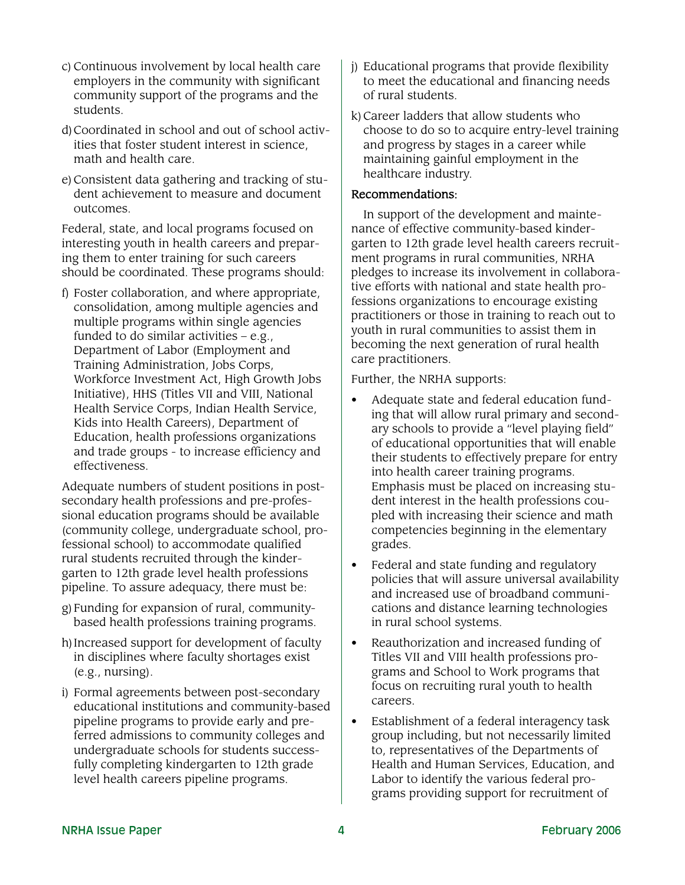- c) Continuous involvement by local health care employers in the community with significant community support of the programs and the students.
- d)Coordinated in school and out of school activities that foster student interest in science, math and health care.
- e)Consistent data gathering and tracking of student achievement to measure and document outcomes.

Federal, state, and local programs focused on interesting youth in health careers and preparing them to enter training for such careers should be coordinated. These programs should:

f) Foster collaboration, and where appropriate, consolidation, among multiple agencies and multiple programs within single agencies funded to do similar activities  $-e.g.,$ Department of Labor (Employment and Training Administration, Jobs Corps, Workforce Investment Act, High Growth Jobs Initiative), HHS (Titles VII and VIII, National Health Service Corps, Indian Health Service, Kids into Health Careers), Department of Education, health professions organizations and trade groups - to increase efficiency and effectiveness.

Adequate numbers of student positions in postsecondary health professions and pre-professional education programs should be available (community college, undergraduate school, professional school) to accommodate qualified rural students recruited through the kindergarten to 12th grade level health professions pipeline. To assure adequacy, there must be:

- g)Funding for expansion of rural, communitybased health professions training programs.
- h)Increased support for development of faculty in disciplines where faculty shortages exist (e.g., nursing).
- i) Formal agreements between post-secondary educational institutions and community-based pipeline programs to provide early and preferred admissions to community colleges and undergraduate schools for students successfully completing kindergarten to 12th grade level health careers pipeline programs.
- j) Educational programs that provide flexibility to meet the educational and financing needs of rural students.
- k)Career ladders that allow students who choose to do so to acquire entry-level training and progress by stages in a career while maintaining gainful employment in the healthcare industry.

## Recommendations:

In support of the development and maintenance of effective community-based kindergarten to 12th grade level health careers recruitment programs in rural communities, NRHA pledges to increase its involvement in collaborative efforts with national and state health professions organizations to encourage existing practitioners or those in training to reach out to youth in rural communities to assist them in becoming the next generation of rural health care practitioners.

Further, the NRHA supports:

- Adequate state and federal education funding that will allow rural primary and secondary schools to provide a "level playing field" of educational opportunities that will enable their students to effectively prepare for entry into health career training programs. Emphasis must be placed on increasing student interest in the health professions coupled with increasing their science and math competencies beginning in the elementary grades.
- Federal and state funding and regulatory policies that will assure universal availability and increased use of broadband communications and distance learning technologies in rural school systems.
- Reauthorization and increased funding of Titles VII and VIII health professions programs and School to Work programs that focus on recruiting rural youth to health careers.
- Establishment of a federal interagency task group including, but not necessarily limited to, representatives of the Departments of Health and Human Services, Education, and Labor to identify the various federal programs providing support for recruitment of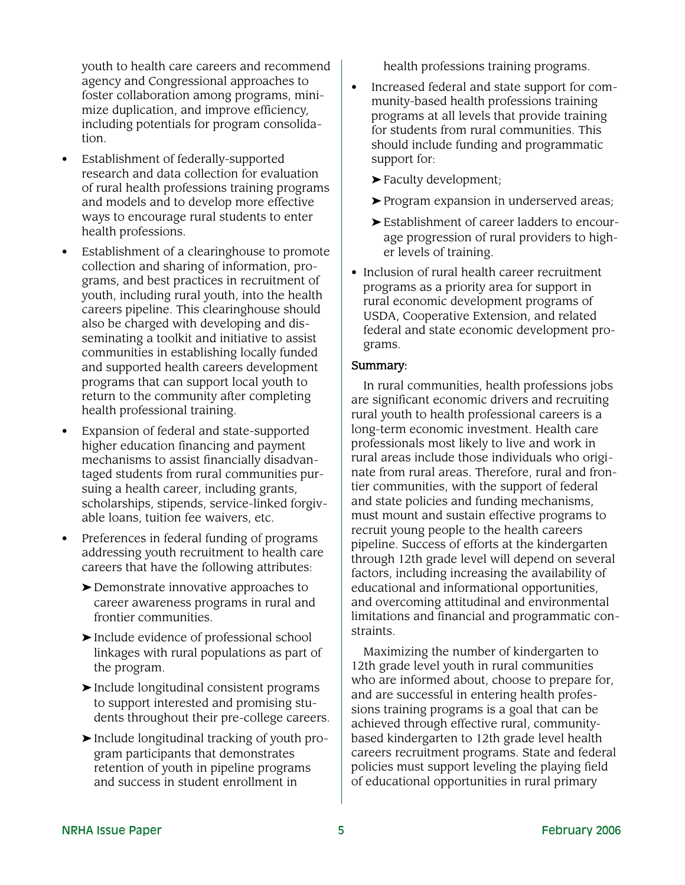youth to health care careers and recommend agency and Congressional approaches to foster collaboration among programs, minimize duplication, and improve efficiency, including potentials for program consolidation.

- Establishment of federally-supported research and data collection for evaluation of rural health professions training programs and models and to develop more effective ways to encourage rural students to enter health professions.
- Establishment of a clearinghouse to promote collection and sharing of information, programs, and best practices in recruitment of youth, including rural youth, into the health careers pipeline. This clearinghouse should also be charged with developing and disseminating a toolkit and initiative to assist communities in establishing locally funded and supported health careers development programs that can support local youth to return to the community after completing health professional training.
- Expansion of federal and state-supported higher education financing and payment mechanisms to assist financially disadvantaged students from rural communities pursuing a health career, including grants, scholarships, stipends, service-linked forgivable loans, tuition fee waivers, etc.
- Preferences in federal funding of programs addressing youth recruitment to health care careers that have the following attributes:
	- ➤ Demonstrate innovative approaches to career awareness programs in rural and frontier communities.
	- ➤ Include evidence of professional school linkages with rural populations as part of the program.
	- ➤ Include longitudinal consistent programs to support interested and promising students throughout their pre-college careers.
	- ➤ Include longitudinal tracking of youth program participants that demonstrates retention of youth in pipeline programs and success in student enrollment in

health professions training programs.

- Increased federal and state support for community-based health professions training programs at all levels that provide training for students from rural communities. This should include funding and programmatic support for:
	- ➤ Faculty development;
	- ➤ Program expansion in underserved areas;
	- ➤ Establishment of career ladders to encourage progression of rural providers to higher levels of training.
- Inclusion of rural health career recruitment programs as a priority area for support in rural economic development programs of USDA, Cooperative Extension, and related federal and state economic development programs.

## Summary:

In rural communities, health professions jobs are significant economic drivers and recruiting rural youth to health professional careers is a long-term economic investment. Health care professionals most likely to live and work in rural areas include those individuals who originate from rural areas. Therefore, rural and frontier communities, with the support of federal and state policies and funding mechanisms, must mount and sustain effective programs to recruit young people to the health careers pipeline. Success of efforts at the kindergarten through 12th grade level will depend on several factors, including increasing the availability of educational and informational opportunities, and overcoming attitudinal and environmental limitations and financial and programmatic constraints.

Maximizing the number of kindergarten to 12th grade level youth in rural communities who are informed about, choose to prepare for, and are successful in entering health professions training programs is a goal that can be achieved through effective rural, communitybased kindergarten to 12th grade level health careers recruitment programs. State and federal policies must support leveling the playing field of educational opportunities in rural primary